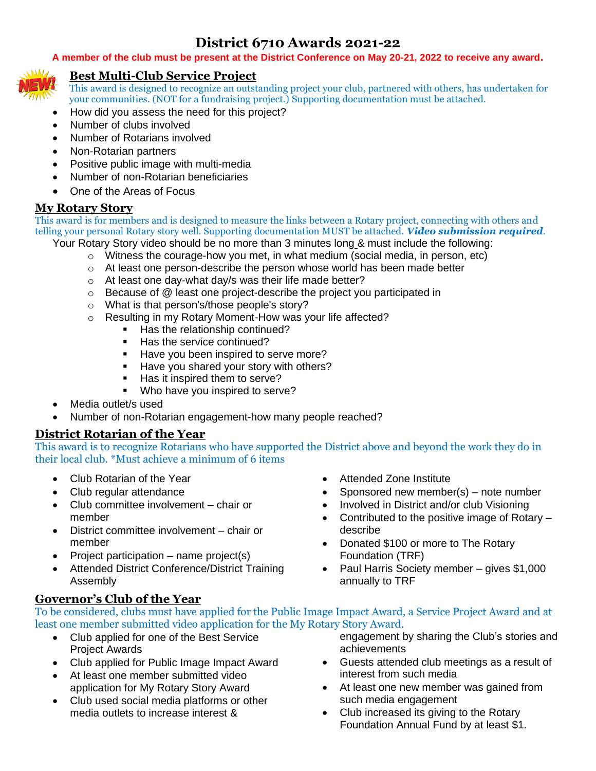# **District 6710 Awards 2021-22**

#### **A member of the club must be present at the District Conference on May 20-21, 2022 to receive any award.**



### **Best Multi-Club Service Project**

This award is designed to recognize an outstanding project your club, partnered with others, has undertaken for your communities. (NOT for a fundraising project.) Supporting documentation must be attached.

- How did you assess the need for this project?
- Number of clubs involved
- Number of Rotarians involved
- Non-Rotarian partners
- Positive public image with multi-media
- Number of non-Rotarian beneficiaries
- One of the Areas of Focus

### **My Rotary Story**

This award is for members and is designed to measure the links between a Rotary project, connecting with others and telling your personal Rotary story well. Supporting documentation MUST be attached. *Video submission required.*

Your Rotary Story video should be no more than 3 minutes long & must include the following:

- $\circ$  Witness the courage-how you met, in what medium (social media, in person, etc)
- o At least one person-describe the person whose world has been made better
- o At least one day-what day/s was their life made better?
- $\circ$  Because of  $\circledR$  least one project-describe the project you participated in
- o What is that person's/those people's story?
- o Resulting in my Rotary Moment-How was your life affected?
	- Has the relationship continued?
	- Has the service continued?
	- Have you been inspired to serve more?
	- Have you shared your story with others?
	- Has it inspired them to serve?
	- Who have you inspired to serve?
- Media outlet/s used
- Number of non-Rotarian engagement-how many people reached?

### **District Rotarian of the Year**

This award is to recognize Rotarians who have supported the District above and beyond the work they do in their local club. \*Must achieve a minimum of 6 items

- Club Rotarian of the Year
- Club regular attendance
- Club committee involvement chair or member
- District committee involvement chair or member
- Project participation name project(s)
- Attended District Conference/District Training Assembly
- Attended Zone Institute
- Sponsored new member(s) note number
- Involved in District and/or club Visioning
- Contributed to the positive image of Rotary describe
- Donated \$100 or more to The Rotary Foundation (TRF)
- Paul Harris Society member gives \$1,000 annually to TRF

### **Governor's Club of the Year**

To be considered, clubs must have applied for the Public Image Impact Award, a Service Project Award and at least one member submitted video application for the My Rotary Story Award.

- Club applied for one of the Best Service Project Awards
- Club applied for Public Image Impact Award
- At least one member submitted video application for My Rotary Story Award
- Club used social media platforms or other media outlets to increase interest &

engagement by sharing the Club's stories and achievements

- Guests attended club meetings as a result of interest from such media
- At least one new member was gained from such media engagement
- Club increased its giving to the Rotary Foundation Annual Fund by at least \$1.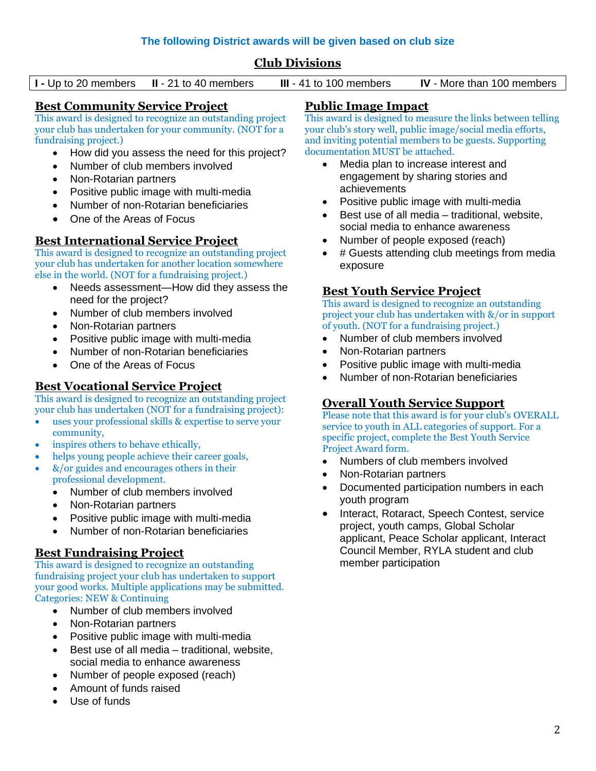### **Club Divisions**

**I -** Up to 20 members **II** - 21 to 40 members **III** - 41 to 100 members **IV** - More than 100 members

### **Best Community Service Project**

This award is designed to recognize an outstanding project your club has undertaken for your community. (NOT for a fundraising project.)

- How did you assess the need for this project?
- Number of club members involved
- Non-Rotarian partners
- Positive public image with multi-media
- Number of non-Rotarian beneficiaries
- One of the Areas of Focus

### **Best International Service Project**

This award is designed to recognize an outstanding project your club has undertaken for another location somewhere else in the world. (NOT for a fundraising project.)

- Needs assessment—How did they assess the need for the project?
- Number of club members involved
- Non-Rotarian partners
- Positive public image with multi-media
- Number of non-Rotarian beneficiaries
- One of the Areas of Focus

#### **Best Vocational Service Project**

This award is designed to recognize an outstanding project your club has undertaken (NOT for a fundraising project):

- uses your professional skills & expertise to serve your community,
- inspires others to behave ethically,
- helps young people achieve their career goals,
- &/or guides and encourages others in their professional development.
	- Number of club members involved
	- Non-Rotarian partners
	- Positive public image with multi-media
	- Number of non-Rotarian beneficiaries

### **Best Fundraising Project**

This award is designed to recognize an outstanding fundraising project your club has undertaken to support your good works. Multiple applications may be submitted. Categories: NEW & Continuing

- Number of club members involved
- Non-Rotarian partners
- Positive public image with multi-media
- Best use of all media traditional, website, social media to enhance awareness
- Number of people exposed (reach)
- Amount of funds raised
- Use of funds

### **Public Image Impact**

This award is designed to measure the links between telling your club's story well, public image/social media efforts, and inviting potential members to be guests. Supporting documentation MUST be attached.

- Media plan to increase interest and engagement by sharing stories and achievements
- Positive public image with multi-media
- Best use of all media traditional, website, social media to enhance awareness
- Number of people exposed (reach)
- # Guests attending club meetings from media exposure

### **Best Youth Service Project**

This award is designed to recognize an outstanding project your club has undertaken with &/or in support of youth. (NOT for a fundraising project.)

- Number of club members involved
- Non-Rotarian partners
- Positive public image with multi-media
- Number of non-Rotarian beneficiaries

### **Overall Youth Service Support**

Please note that this award is for your club's OVERALL service to youth in ALL categories of support. For a specific project, complete the Best Youth Service Project Award form.

- Numbers of club members involved
- Non-Rotarian partners
- Documented participation numbers in each youth program
- Interact, Rotaract, Speech Contest, service project, youth camps, Global Scholar applicant, Peace Scholar applicant, Interact Council Member, RYLA student and club member participation